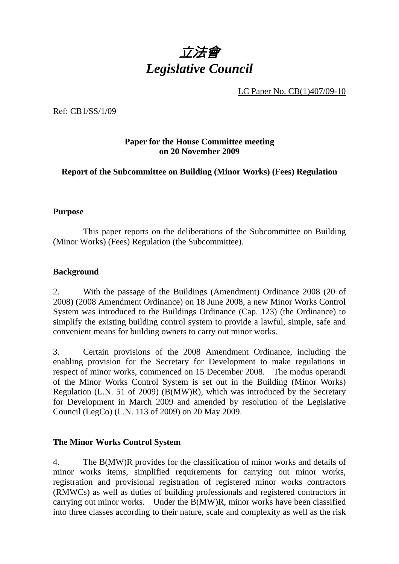

LC Paper No. CB(1)407/09-10

Ref: CB1/SS/1/09

### **Paper for the House Committee meeting on 20 November 2009**

**Report of the Subcommittee on Building (Minor Works) (Fees) Regulation** 

#### **Purpose**

 This paper reports on the deliberations of the Subcommittee on Building (Minor Works) (Fees) Regulation (the Subcommittee).

#### **Background**

2. With the passage of the Buildings (Amendment) Ordinance 2008 (20 of 2008) (2008 Amendment Ordinance) on 18 June 2008, a new Minor Works Control System was introduced to the Buildings Ordinance (Cap. 123) (the Ordinance) to simplify the existing building control system to provide a lawful, simple, safe and convenient means for building owners to carry out minor works.

3. Certain provisions of the 2008 Amendment Ordinance, including the enabling provision for the Secretary for Development to make regulations in respect of minor works, commenced on 15 December 2008. The modus operandi of the Minor Works Control System is set out in the Building (Minor Works) Regulation (L.N. 51 of 2009) (B(MW)R), which was introduced by the Secretary for Development in March 2009 and amended by resolution of the Legislative Council (LegCo) (L.N. 113 of 2009) on 20 May 2009.

### **The Minor Works Control System**

4. The B(MW)R provides for the classification of minor works and details of minor works items, simplified requirements for carrying out minor works, registration and provisional registration of registered minor works contractors (RMWCs) as well as duties of building professionals and registered contractors in carrying out minor works. Under the B(MW)R, minor works have been classified into three classes according to their nature, scale and complexity as well as the risk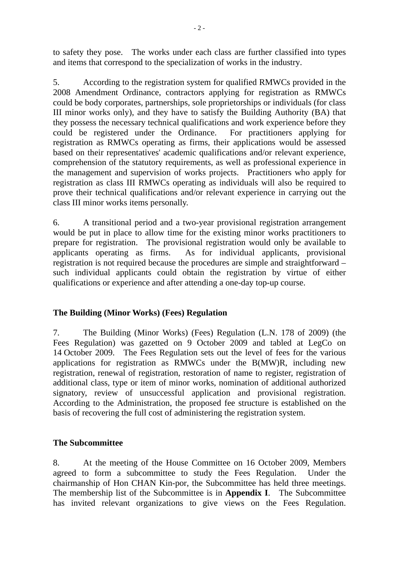to safety they pose. The works under each class are further classified into types and items that correspond to the specialization of works in the industry.

5. According to the registration system for qualified RMWCs provided in the 2008 Amendment Ordinance, contractors applying for registration as RMWCs could be body corporates, partnerships, sole proprietorships or individuals (for class III minor works only), and they have to satisfy the Building Authority (BA) that they possess the necessary technical qualifications and work experience before they could be registered under the Ordinance. For practitioners applying for registration as RMWCs operating as firms, their applications would be assessed based on their representatives' academic qualifications and/or relevant experience, comprehension of the statutory requirements, as well as professional experience in the management and supervision of works projects. Practitioners who apply for registration as class III RMWCs operating as individuals will also be required to prove their technical qualifications and/or relevant experience in carrying out the class III minor works items personally.

6. A transitional period and a two-year provisional registration arrangement would be put in place to allow time for the existing minor works practitioners to prepare for registration. The provisional registration would only be available to applicants operating as firms. As for individual applicants, provisional registration is not required because the procedures are simple and straightforward – such individual applicants could obtain the registration by virtue of either qualifications or experience and after attending a one-day top-up course.

### **The Building (Minor Works) (Fees) Regulation**

7. The Building (Minor Works) (Fees) Regulation (L.N. 178 of 2009) (the Fees Regulation) was gazetted on 9 October 2009 and tabled at LegCo on 14 October 2009. The Fees Regulation sets out the level of fees for the various applications for registration as RMWCs under the B(MW)R, including new registration, renewal of registration, restoration of name to register, registration of additional class, type or item of minor works, nomination of additional authorized signatory, review of unsuccessful application and provisional registration. According to the Administration, the proposed fee structure is established on the basis of recovering the full cost of administering the registration system.

### **The Subcommittee**

8. At the meeting of the House Committee on 16 October 2009, Members agreed to form a subcommittee to study the Fees Regulation. Under the chairmanship of Hon CHAN Kin-por, the Subcommittee has held three meetings. The membership list of the Subcommittee is in **Appendix I**. The Subcommittee has invited relevant organizations to give views on the Fees Regulation.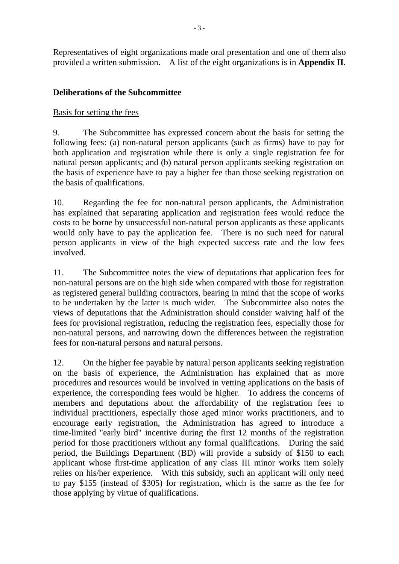Representatives of eight organizations made oral presentation and one of them also provided a written submission. A list of the eight organizations is in **Appendix II**.

### **Deliberations of the Subcommittee**

### Basis for setting the fees

9. The Subcommittee has expressed concern about the basis for setting the following fees: (a) non-natural person applicants (such as firms) have to pay for both application and registration while there is only a single registration fee for natural person applicants; and (b) natural person applicants seeking registration on the basis of experience have to pay a higher fee than those seeking registration on the basis of qualifications.

10. Regarding the fee for non-natural person applicants, the Administration has explained that separating application and registration fees would reduce the costs to be borne by unsuccessful non-natural person applicants as these applicants would only have to pay the application fee. There is no such need for natural person applicants in view of the high expected success rate and the low fees involved.

11. The Subcommittee notes the view of deputations that application fees for non-natural persons are on the high side when compared with those for registration as registered general building contractors, bearing in mind that the scope of works to be undertaken by the latter is much wider. The Subcommittee also notes the views of deputations that the Administration should consider waiving half of the fees for provisional registration, reducing the registration fees, especially those for non-natural persons, and narrowing down the differences between the registration fees for non-natural persons and natural persons.

12. On the higher fee payable by natural person applicants seeking registration on the basis of experience, the Administration has explained that as more procedures and resources would be involved in vetting applications on the basis of experience, the corresponding fees would be higher. To address the concerns of members and deputations about the affordability of the registration fees to individual practitioners, especially those aged minor works practitioners, and to encourage early registration, the Administration has agreed to introduce a time-limited "early bird" incentive during the first 12 months of the registration period for those practitioners without any formal qualifications. During the said period, the Buildings Department (BD) will provide a subsidy of \$150 to each applicant whose first-time application of any class III minor works item solely relies on his/her experience. With this subsidy, such an applicant will only need to pay \$155 (instead of \$305) for registration, which is the same as the fee for those applying by virtue of qualifications.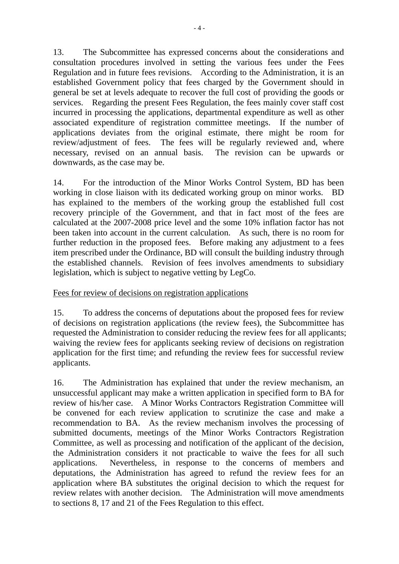13. The Subcommittee has expressed concerns about the considerations and consultation procedures involved in setting the various fees under the Fees Regulation and in future fees revisions. According to the Administration, it is an established Government policy that fees charged by the Government should in general be set at levels adequate to recover the full cost of providing the goods or services. Regarding the present Fees Regulation, the fees mainly cover staff cost incurred in processing the applications, departmental expenditure as well as other associated expenditure of registration committee meetings. If the number of applications deviates from the original estimate, there might be room for review/adjustment of fees. The fees will be regularly reviewed and, where necessary, revised on an annual basis. The revision can be upwards or downwards, as the case may be.

14. For the introduction of the Minor Works Control System, BD has been working in close liaison with its dedicated working group on minor works. BD has explained to the members of the working group the established full cost recovery principle of the Government, and that in fact most of the fees are calculated at the 2007-2008 price level and the some 10% inflation factor has not been taken into account in the current calculation. As such, there is no room for further reduction in the proposed fees. Before making any adjustment to a fees item prescribed under the Ordinance, BD will consult the building industry through the established channels. Revision of fees involves amendments to subsidiary legislation, which is subject to negative vetting by LegCo.

### Fees for review of decisions on registration applications

15. To address the concerns of deputations about the proposed fees for review of decisions on registration applications (the review fees), the Subcommittee has requested the Administration to consider reducing the review fees for all applicants; waiving the review fees for applicants seeking review of decisions on registration application for the first time; and refunding the review fees for successful review applicants.

16. The Administration has explained that under the review mechanism, an unsuccessful applicant may make a written application in specified form to BA for review of his/her case. A Minor Works Contractors Registration Committee will be convened for each review application to scrutinize the case and make a recommendation to BA. As the review mechanism involves the processing of submitted documents, meetings of the Minor Works Contractors Registration Committee, as well as processing and notification of the applicant of the decision, the Administration considers it not practicable to waive the fees for all such applications. Nevertheless, in response to the concerns of members and deputations, the Administration has agreed to refund the review fees for an application where BA substitutes the original decision to which the request for review relates with another decision. The Administration will move amendments to sections 8, 17 and 21 of the Fees Regulation to this effect.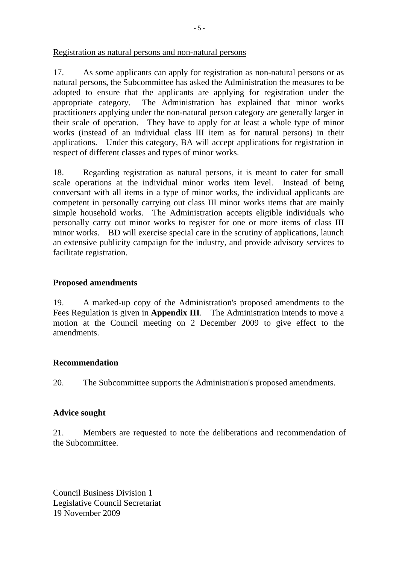Registration as natural persons and non-natural persons

17. As some applicants can apply for registration as non-natural persons or as natural persons, the Subcommittee has asked the Administration the measures to be adopted to ensure that the applicants are applying for registration under the appropriate category. The Administration has explained that minor works practitioners applying under the non-natural person category are generally larger in their scale of operation. They have to apply for at least a whole type of minor works (instead of an individual class III item as for natural persons) in their applications. Under this category, BA will accept applications for registration in respect of different classes and types of minor works.

18. Regarding registration as natural persons, it is meant to cater for small scale operations at the individual minor works item level. Instead of being conversant with all items in a type of minor works, the individual applicants are competent in personally carrying out class III minor works items that are mainly simple household works. The Administration accepts eligible individuals who personally carry out minor works to register for one or more items of class III minor works. BD will exercise special care in the scrutiny of applications, launch an extensive publicity campaign for the industry, and provide advisory services to facilitate registration.

### **Proposed amendments**

19. A marked-up copy of the Administration's proposed amendments to the Fees Regulation is given in **Appendix III**. The Administration intends to move a motion at the Council meeting on 2 December 2009 to give effect to the amendments.

### **Recommendation**

20. The Subcommittee supports the Administration's proposed amendments.

### **Advice sought**

21. Members are requested to note the deliberations and recommendation of the Subcommittee.

Council Business Division 1 Legislative Council Secretariat 19 November 2009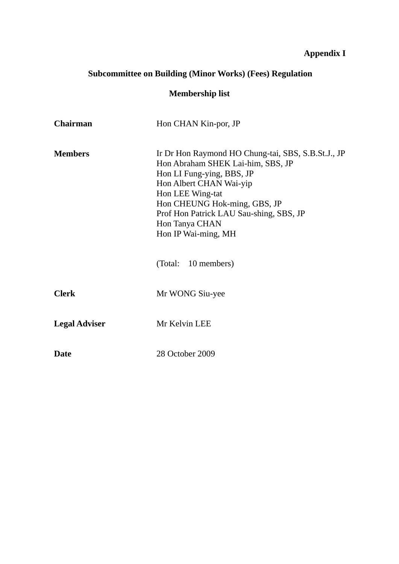## **Appendix I**

# **Subcommittee on Building (Minor Works) (Fees) Regulation**

## **Membership list**

| <b>Chairman</b>      | Hon CHAN Kin-por, JP                                                                                                                                                                                                                                                                    |
|----------------------|-----------------------------------------------------------------------------------------------------------------------------------------------------------------------------------------------------------------------------------------------------------------------------------------|
| <b>Members</b>       | Ir Dr Hon Raymond HO Chung-tai, SBS, S.B.St.J., JP<br>Hon Abraham SHEK Lai-him, SBS, JP<br>Hon LI Fung-ying, BBS, JP<br>Hon Albert CHAN Wai-yip<br>Hon LEE Wing-tat<br>Hon CHEUNG Hok-ming, GBS, JP<br>Prof Hon Patrick LAU Sau-shing, SBS, JP<br>Hon Tanya CHAN<br>Hon IP Wai-ming, MH |
|                      | (Total: 10 members)                                                                                                                                                                                                                                                                     |
| <b>Clerk</b>         | Mr WONG Siu-yee                                                                                                                                                                                                                                                                         |
| <b>Legal Adviser</b> | Mr Kelvin LEE                                                                                                                                                                                                                                                                           |
| <b>Date</b>          | 28 October 2009                                                                                                                                                                                                                                                                         |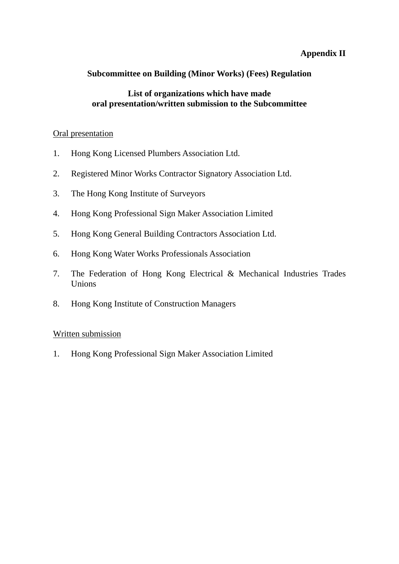### **Appendix II**

### **Subcommittee on Building (Minor Works) (Fees) Regulation**

### **List of organizations which have made oral presentation/written submission to the Subcommittee**

#### Oral presentation

- 1. Hong Kong Licensed Plumbers Association Ltd.
- 2. Registered Minor Works Contractor Signatory Association Ltd.
- 3. The Hong Kong Institute of Surveyors
- 4. Hong Kong Professional Sign Maker Association Limited
- 5. Hong Kong General Building Contractors Association Ltd.
- 6. Hong Kong Water Works Professionals Association
- 7. The Federation of Hong Kong Electrical & Mechanical Industries Trades Unions
- 8. Hong Kong Institute of Construction Managers

### Written submission

1. Hong Kong Professional Sign Maker Association Limited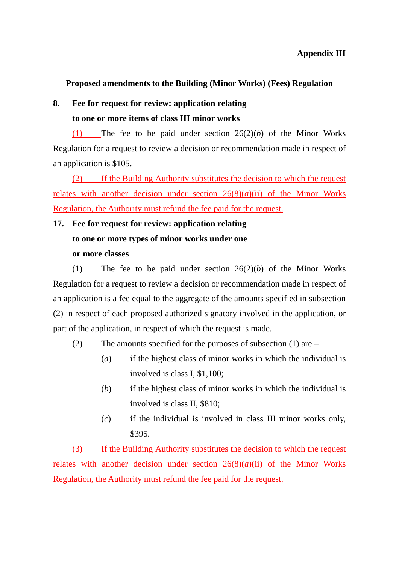### **Proposed amendments to the Building (Minor Works) (Fees) Regulation**

## **8. Fee for request for review: application relating to one or more items of class III minor works**

(1) The fee to be paid under section 26(2)(*b*) of the Minor Works Regulation for a request to review a decision or recommendation made in respect of an application is \$105.

(2) If the Building Authority substitutes the decision to which the request relates with another decision under section  $26(8)(a)(ii)$  of the Minor Works Regulation, the Authority must refund the fee paid for the request.

## **17. Fee for request for review: application relating**

## **to one or more types of minor works under one**

### **or more classes**

(1) The fee to be paid under section 26(2)(*b*) of the Minor Works Regulation for a request to review a decision or recommendation made in respect of an application is a fee equal to the aggregate of the amounts specified in subsection (2) in respect of each proposed authorized signatory involved in the application, or part of the application, in respect of which the request is made.

- (2) The amounts specified for the purposes of subsection (1) are
	- (*a*) if the highest class of minor works in which the individual is involved is class I, \$1,100;
	- (*b*) if the highest class of minor works in which the individual is involved is class II, \$810;
	- (*c*) if the individual is involved in class III minor works only, \$395.

(3) If the Building Authority substitutes the decision to which the request relates with another decision under section  $26(8)(a)(ii)$  of the Minor Works Regulation, the Authority must refund the fee paid for the request.